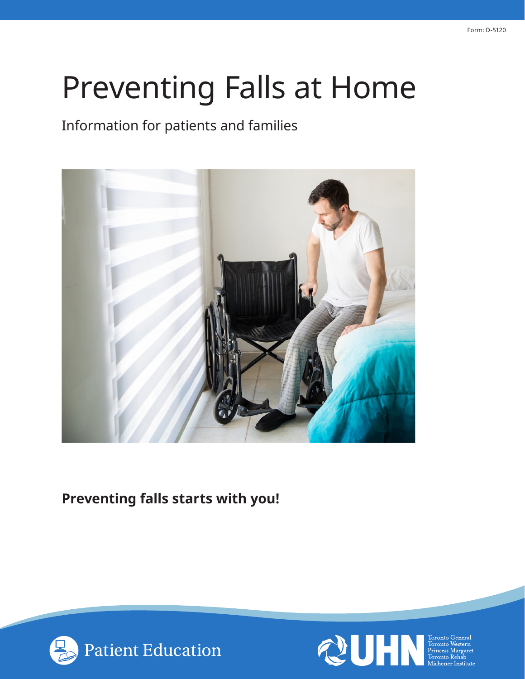# Preventing Falls at Home

## Information for patients and families



## **Preventing falls starts with you!**



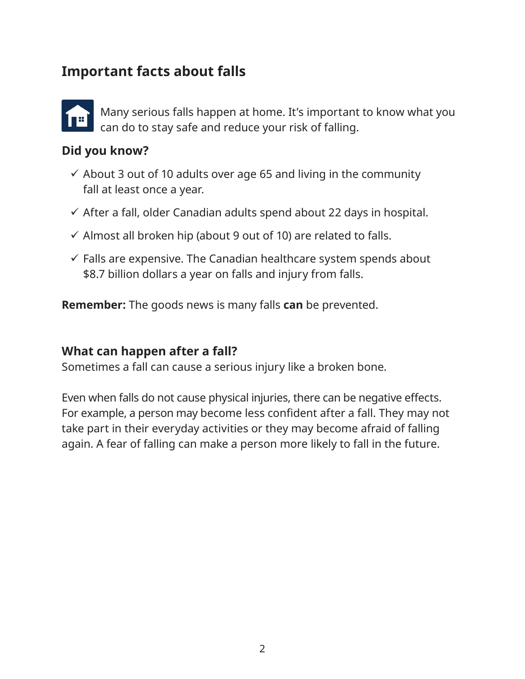### **Important facts about falls**



Many serious falls happen at home. It's important to know what you can do to stay safe and reduce your risk of falling.

#### **Did you know?**

- $\checkmark$  About 3 out of 10 adults over age 65 and living in the community fall at least once a year.
- $\checkmark$  After a fall, older Canadian adults spend about 22 days in hospital.
- $\checkmark$  Almost all broken hip (about 9 out of 10) are related to falls.
- $\checkmark$  Falls are expensive. The Canadian healthcare system spends about \$8.7 billion dollars a year on falls and injury from falls.

**Remember:** The goods news is many falls **can** be prevented.

#### **What can happen after a fall?**

Sometimes a fall can cause a serious injury like a broken bone.

Even when falls do not cause physical injuries, there can be negative effects. For example, a person may become less confident after a fall. They may not take part in their everyday activities or they may become afraid of falling again. A fear of falling can make a person more likely to fall in the future.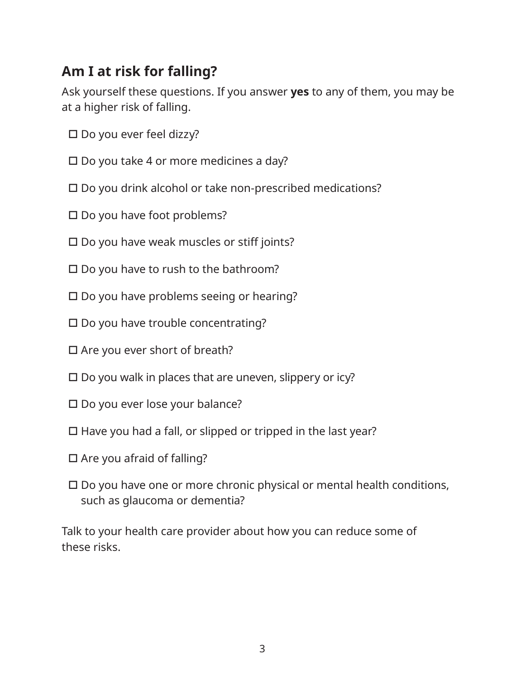# **Am I at risk for falling?**

Ask yourself these questions. If you answer **yes** to any of them, you may be at a higher risk of falling.

- $\square$  Do you ever feel dizzy?
- $\square$  Do you take 4 or more medicines a day?
- □ Do you drink alcohol or take non-prescribed medications?
- $\square$  Do you have foot problems?
- $\square$  Do you have weak muscles or stiff joints?
- $\square$  Do you have to rush to the bathroom?
- $\square$  Do you have problems seeing or hearing?
- $\square$  Do you have trouble concentrating?
- $\square$  Are you ever short of breath?
- $\square$  Do you walk in places that are uneven, slippery or icy?
- $\square$  Do you ever lose your balance?
- $\Box$  Have you had a fall, or slipped or tripped in the last year?
- $\Box$  Are you afraid of falling?
- $\square$  Do you have one or more chronic physical or mental health conditions, such as glaucoma or dementia?

Talk to your health care provider about how you can reduce some of these risks.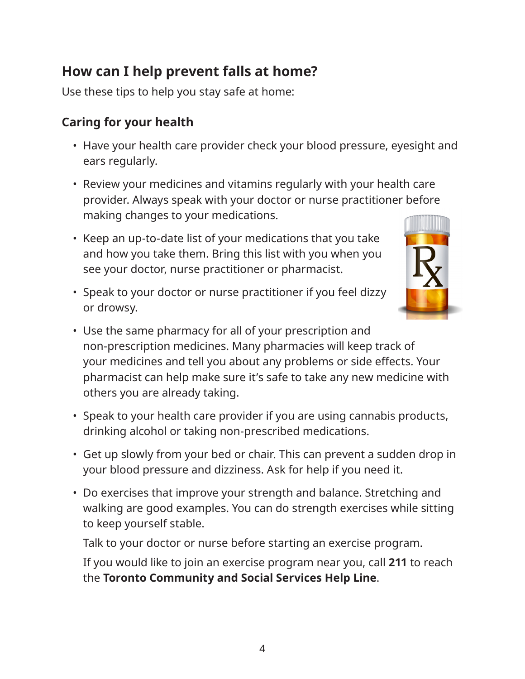# **How can I help prevent falls at home?**

Use these tips to help you stay safe at home:

## **Caring for your health**

- Have your health care provider check your blood pressure, eyesight and ears regularly.
- Review your medicines and vitamins regularly with your health care provider. Always speak with your doctor or nurse practitioner before making changes to your medications.
- Keep an up-to-date list of your medications that you take and how you take them. Bring this list with you when you see your doctor, nurse practitioner or pharmacist.
- Speak to your doctor or nurse practitioner if you feel dizzy or drowsy.



- Use the same pharmacy for all of your prescription and non-prescription medicines. Many pharmacies will keep track of your medicines and tell you about any problems or side effects. Your pharmacist can help make sure it's safe to take any new medicine with others you are already taking.
- Speak to your health care provider if you are using cannabis products, drinking alcohol or taking non-prescribed medications.
- Get up slowly from your bed or chair. This can prevent a sudden drop in your blood pressure and dizziness. Ask for help if you need it.
- Do exercises that improve your strength and balance. Stretching and walking are good examples. You can do strength exercises while sitting to keep yourself stable.

Talk to your doctor or nurse before starting an exercise program.

If you would like to join an exercise program near you, call **211** to reach the **Toronto Community and Social Services Help Line**.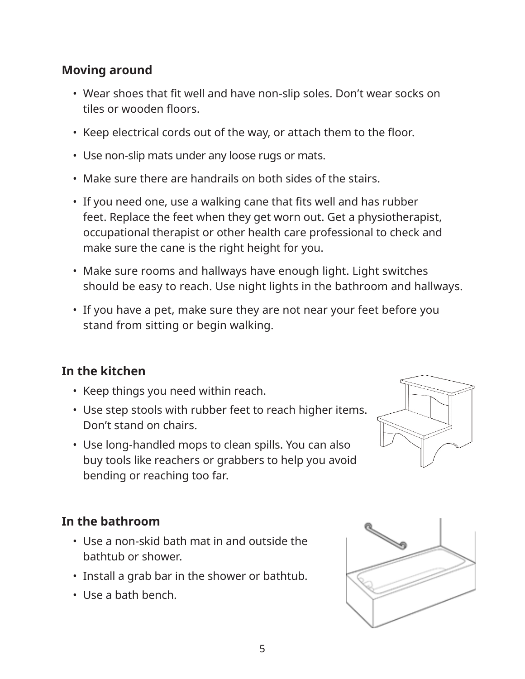#### **Moving around**

- Wear shoes that fit well and have non-slip soles. Don't wear socks on tiles or wooden floors.
- Keep electrical cords out of the way, or attach them to the floor.
- Use non-slip mats under any loose rugs or mats.
- Make sure there are handrails on both sides of the stairs.
- If you need one, use a walking cane that fits well and has rubber feet. Replace the feet when they get worn out. Get a physiotherapist, occupational therapist or other health care professional to check and make sure the cane is the right height for you.
- Make sure rooms and hallways have enough light. Light switches should be easy to reach. Use night lights in the bathroom and hallways.
- If you have a pet, make sure they are not near your feet before you stand from sitting or begin walking.

#### **In the kitchen**

- Keep things you need within reach.
- Use step stools with rubber feet to reach higher items. Don't stand on chairs.
- Use long-handled mops to clean spills. You can also buy tools like reachers or grabbers to help you avoid bending or reaching too far.



#### **In the bathroom**

- Use a non-skid bath mat in and outside the bathtub or shower.
- Install a grab bar in the shower or bathtub.
- Use a bath bench.

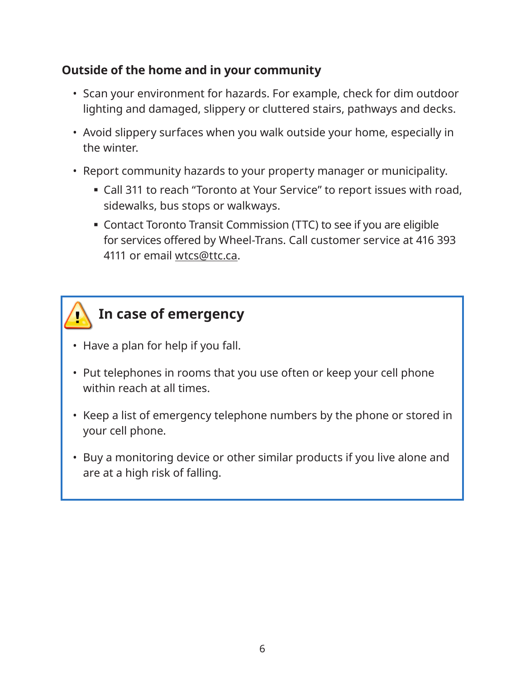#### **Outside of the home and in your community**

- Scan your environment for hazards. For example, check for dim outdoor lighting and damaged, slippery or cluttered stairs, pathways and decks.
- Avoid slippery surfaces when you walk outside your home, especially in the winter.
- Report community hazards to your property manager or municipality.
	- Call 311 to reach "Toronto at Your Service" to report issues with road, sidewalks, bus stops or walkways.
	- Contact Toronto Transit Commission (TTC) to see if you are eligible for services offered by Wheel-Trans. Call customer service at 416 393 4111 or email wtcs@ttc.ca.



- Have a plan for help if you fall.
- Put telephones in rooms that you use often or keep your cell phone within reach at all times.
- Keep a list of emergency telephone numbers by the phone or stored in your cell phone.
- Buy a monitoring device or other similar products if you live alone and are at a high risk of falling.